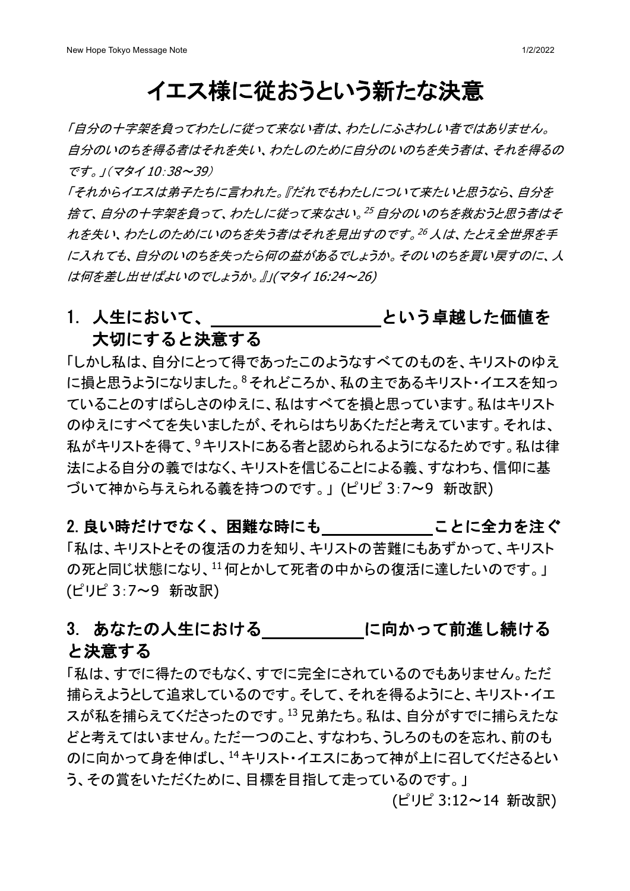## イエス様に従おうという新たな決意

「自分の十字架を負ってわたしに従って来ない者は、わたしにふさわしい者ではありません。 自分のいのちを得る者はそれを失い、わたしのために自分のいのちを失う者は、それを得るの です。」(マタイ 10:38~39)

「それからイエスは弟子たちに言われた。『だれでもわたしについて来たいと思うなら、自分を 捨て、自分の十字架を負って、わたしに従って来なさい。<sup>25</sup> 自分のいのちを救おうと思う者はそ れを失い、わたしのためにいのちを失う者はそれを見出すのです。<sup>26</sup> 人は、たとえ全世界を手 に入れても、自分のいのちを失ったら何の益があるでしょうか。そのいのちを買い戻すのに、人 は何を差し出せばよいのでしょうか。』」(マタイ 16:24~26)

#### 1. 人生において、 そんのようなどのう卓越した価値を 大切にすると決意する

「しかし私は、自分にとって得であったこのようなすべてのものを、キリストのゆえ に損と思うようになりました。8それどころか、私の主であるキリスト・イエスを知っ ていることのすばらしさのゆえに、私はすべてを損と思っています。私はキリスト のゆえにすべてを失いましたが、それらはちりあくただと考えています。それは、 私がキリストを得て、<sup>9</sup>キリストにある者と認められるようになるためです。私は律 法による自分の義ではなく、キリストを信じることによる義、すなわち、信仰に基 づいて神から与えられる義を持つのです。」 (ピリピ 3:7〜9 新改訳)

2. 良い時だけでなく、困難な時にも ことに全力を注ぐ 「私は、キリストとその復活の力を知り、キリストの苦難にもあずかって、キリスト の死と同じ状態になり、11何とかして死者の中からの復活に達したいのです。」 (ピリピ 3:7〜9 新改訳)

### 3. あなたの人生における インバン に向かって前進し続ける と決意する

「私は、すでに得たのでもなく、すでに完全にされているのでもありません。ただ 捕らえようとして追求しているのです。そして、それを得るようにと、キリスト・イエ スが私を捕らえてくださったのです。13兄弟たち。私は、自分がすでに捕らえたな どと考えてはいません。ただ一つのこと、すなわち、うしろのものを忘れ、前のも のに向かって身を伸ばし、14キリスト・イエスにあって神が上に召してくださるとい う、その賞をいただくために、目標を目指して走っているのです。」

(ピリピ 3:12~14 新改訳)